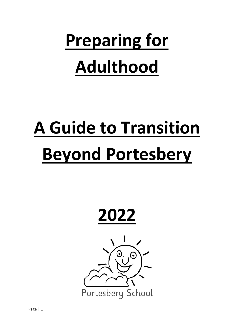# **Preparing for Adulthood**

# **A Guide to Transition Beyond Portesbery**



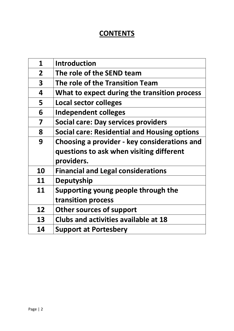## **CONTENTS**

| $\mathbf{1}$            | <b>Introduction</b>                                 |
|-------------------------|-----------------------------------------------------|
| $\overline{2}$          | The role of the SEND team                           |
| $\overline{\mathbf{3}}$ | The role of the Transition Team                     |
| 4                       | What to expect during the transition process        |
| 5                       | <b>Local sector colleges</b>                        |
| 6                       | Independent colleges                                |
| 7                       | Social care: Day services providers                 |
| 8                       | <b>Social care: Residential and Housing options</b> |
| 9                       | Choosing a provider - key considerations and        |
|                         | questions to ask when visiting different            |
|                         | providers.                                          |
| 10                      | <b>Financial and Legal considerations</b>           |
| 11                      | <b>Deputyship</b>                                   |
| 11                      | Supporting young people through the                 |
|                         | transition process                                  |
| 12                      | <b>Other sources of support</b>                     |
| 13                      | <b>Clubs and activities available at 18</b>         |
| 14                      | <b>Support at Portesbery</b>                        |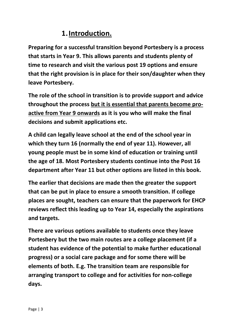# **1.Introduction.**

**Preparing for a successful transition beyond Portesbery is a process that starts in Year 9. This allows parents and students plenty of time to research and visit the various post 19 options and ensure that the right provision is in place for their son/daughter when they leave Portesbery.** 

**The role of the school in transition is to provide support and advice throughout the process but it is essential that parents become proactive from Year 9 onwards as it is you who will make the final decisions and submit applications etc.** 

**A child can legally leave school at the end of the school year in which they turn 16 (normally the end of year 11). However, all young people must be in some kind of education or training until the age of 18. Most Portesbery students continue into the Post 16 department after Year 11 but other options are listed in this book.**

**The earlier that decisions are made then the greater the support that can be put in place to ensure a smooth transition. If college places are sought, teachers can ensure that the paperwork for EHCP reviews reflect this leading up to Year 14, especially the aspirations and targets.** 

**There are various options available to students once they leave Portesbery but the two main routes are a college placement (if a student has evidence of the potential to make further educational progress) or a social care package and for some there will be elements of both. E.g. The transition team are responsible for arranging transport to college and for activities for non-college days.**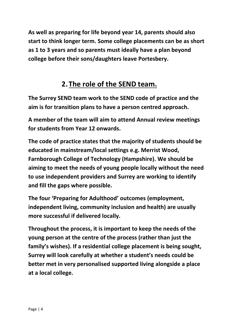**As well as preparing for life beyond year 14, parents should also start to think longer term. Some college placements can be as short as 1 to 3 years and so parents must ideally have a plan beyond college before their sons/daughters leave Portesbery.** 

# **2.The role of the SEND team.**

**The Surrey SEND team work to the SEND code of practice and the aim is for transition plans to have a person centred approach.** 

**A member of the team will aim to attend Annual review meetings for students from Year 12 onwards.** 

**The code of practice states that the majority of students should be educated in mainstream/local settings e.g. Merrist Wood, Farnborough College of Technology (Hampshire). We should be aiming to meet the needs of young people locally without the need to use independent providers and Surrey are working to identify and fill the gaps where possible.** 

**The four 'Preparing for Adulthood' outcomes (employment, independent living, community inclusion and health) are usually more successful if delivered locally.** 

**Throughout the process, it is important to keep the needs of the young person at the centre of the process (rather than just the family's wishes). If a residential college placement is being sought, Surrey will look carefully at whether a student's needs could be better met in very personalised supported living alongside a place at a local college.**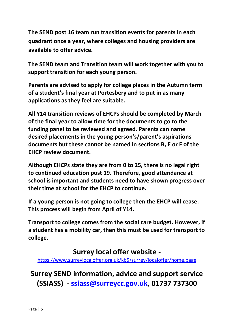**The SEND post 16 team run transition events for parents in each quadrant once a year, where colleges and housing providers are available to offer advice.** 

**The SEND team and Transition team will work together with you to support transition for each young person.** 

**Parents are advised to apply for college places in the Autumn term of a student's final year at Portesbery and to put in as many applications as they feel are suitable.**

**All Y14 transition reviews of EHCPs should be completed by March of the final year to allow time for the documents to go to the funding panel to be reviewed and agreed. Parents can name desired placements in the young person's/parent's aspirations documents but these cannot be named in sections B, E or F of the EHCP review document.**

**Although EHCPs state they are from 0 to 25, there is no legal right to continued education post 19. Therefore, good attendance at school is important and students need to have shown progress over their time at school for the EHCP to continue.** 

**If a young person is not going to college then the EHCP will cease. This process will begin from April of Y14.** 

**Transport to college comes from the social care budget. However, if a student has a mobility car, then this must be used for transport to college.** 

#### **Surrey local offer website -**

<https://www.surreylocaloffer.org.uk/kb5/surrey/localoffer/home.page>

**Surrey SEND information, advice and support service (SSIASS) - [ssiass@surreycc.gov.uk,](mailto:ssiass@surreycc.gov.uk) 01737 737300**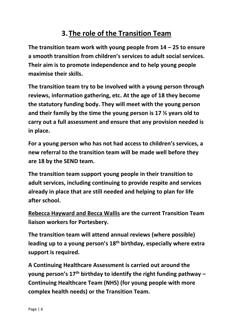# **3.The role of the Transition Team**

**The transition team work with young people from 14 – 25 to ensure a smooth transition from children's services to adult social services. Their aim is to promote independence and to help young people maximise their skills.** 

**The transition team try to be involved with a young person through reviews, information gathering, etc. At the age of 18 they become the statutory funding body. They will meet with the young person and their family by the time the young person is 17 ½ years old to carry out a full assessment and ensure that any provision needed is in place.**

**For a young person who has not had access to children's services, a new referral to the transition team will be made well before they are 18 by the SEND team.** 

**The transition team support young people in their transition to adult services, including continuing to provide respite and services already in place that are still needed and helping to plan for life after school.**

**Rebecca Hayward and Becca Wallis are the current Transition Team liaison workers for Portesbery.** 

**The transition team will attend annual reviews (where possible) leading up to a young person's 18th birthday, especially where extra support is required.** 

**A Continuing Healthcare Assessment is carried out around the young person's 17th birthday to identify the right funding pathway – Continuing Healthcare Team (NHS) (for young people with more complex health needs) or the Transition Team.**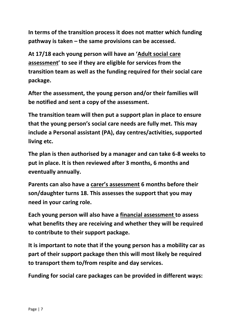**In terms of the transition process it does not matter which funding pathway is taken – the same provisions can be accessed.** 

**At 17/18 each young person will have an 'Adult social care assessment' to see if they are eligible for services from the transition team as well as the funding required for their social care package.** 

**After the assessment, the young person and/or their families will be notified and sent a copy of the assessment.** 

**The transition team will then put a support plan in place to ensure that the young person's social care needs are fully met. This may include a Personal assistant (PA), day centres/activities, supported living etc.** 

**The plan is then authorised by a manager and can take 6-8 weeks to put in place. It is then reviewed after 3 months, 6 months and eventually annually.** 

**Parents can also have a carer's assessment 6 months before their son/daughter turns 18. This assesses the support that you may need in your caring role.** 

**Each young person will also have a financial assessment to assess what benefits they are receiving and whether they will be required to contribute to their support package.** 

**It is important to note that if the young person has a mobility car as part of their support package then this will most likely be required to transport them to/from respite and day services.** 

**Funding for social care packages can be provided in different ways:**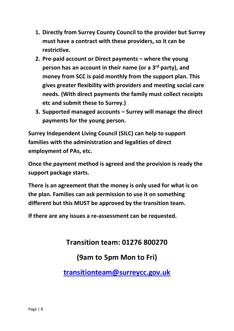- **1. Directly from Surrey County Council to the provider but Surrey must have a contract with these providers, so it can be restrictive.**
- **2. Pre-paid account or Direct payments – where the young person has an account in their name (or a 3rd party), and money from SCC is paid monthly from the support plan. This gives greater flexibility with providers and meeting social care needs. (With direct payments the family must collect receipts etc and submit these to Surrey.)**
- **3. Supported managed accounts – Surrey will manage the direct payments for the young person.**

**Surrey Independent Living Council (SILC) can help to support families with the administration and legalities of direct employment of PAs, etc.**

**Once the payment method is agreed and the provision is ready the support package starts.**

**There is an agreement that the money is only used for what is on the plan. Families can ask permission to use it on something different but this MUST be approved by the transition team.** 

**If there are any issues a re-assessment can be requested.** 

**Transition team: 01276 800270**

## **(9am to 5pm Mon to Fri)**

**[transitionteam@surreycc.gov.uk](mailto:transitionteam@surreycc.gov.uk)**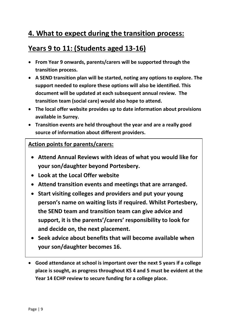# **4. What to expect during the transition process:**

## **Years 9 to 11: (Students aged 13-16)**

- **From Year 9 onwards, parents/carers will be supported through the transition process.**
- **A SEND transition plan will be started, noting any options to explore. The support needed to explore these options will also be identified. This document will be updated at each subsequent annual review. The transition team (social care) would also hope to attend.**
- **The local offer website provides up to date information about provisions available in Surrey.**
- **Transition events are held throughout the year and are a really good source of information about different providers.**

#### **Action points for parents/carers:**

- **Attend Annual Reviews with ideas of what you would like for your son/daughter beyond Portesbery.**
- **Look at the Local Offer website**
- **Attend transition events and meetings that are arranged.**
- **Start visiting colleges and providers and put your young person's name on waiting lists if required. Whilst Portesbery, the SEND team and transition team can give advice and support, it is the parents'/carers' responsibility to look for and decide on, the next placement.**
- **Seek advice about benefits that will become available when your son/daughter becomes 16.**
- **Good attendance at school is important over the next 5 years if a college place is sought, as progress throughout KS 4 and 5 must be evident at the Year 14 ECHP review to secure funding for a college place.**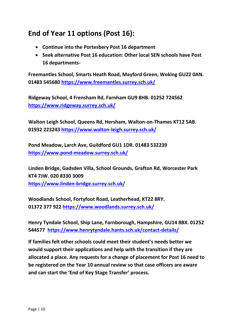# **End of Year 11 options (Post 16):**

- **Continue into the Portesbery Post 16 department**
- **Seek alternative Post 16 education: Other local SEN schools have Post 16 departments-**

**Freemantles School, Smarts Heath Road, Mayford Green, Woking GU22 0AN. [01483 545680](https://www.google.com/search?q=freemantles+address&rlz=1C1GCEJ_enGB921GB921&oq=freemantles+address&aqs=chrome..69i57j0i10i22i30.3120j0j7&sourceid=chrome&ie=UTF-8&safe=active&ssui=on) <https://www.freemantles.surrey.sch.uk/>**

**Ridgeway School, 4 Frensham Rd, Farnham GU9 8HB. 01252 724562 <https://www.ridgeway.surrey.sch.uk/>**

**Walton Leigh School, Queens Rd, Hersham, Walton-on-Thames KT12 5AB. 01932 223243<https://www.walton-leigh.surrey.sch.uk/>**

**Pond Meadow, Larch Ave, Guildford GU1 1DR. 01483 532239 <https://www.pond-meadow.surrey.sch.uk/>**

**Linden Bridge, Gadsden Villa, School Grounds, Grafton Rd, Worcester Park KT4 7JW. 020 8330 3009 <https://www.linden-bridge.surrey.sch.uk/>**

**Woodlands School, Fortyfoot Road, Leatherhead, KT22 8RY. 01372 377 922<https://www.woodlands.surrey.sch.uk/>**

**Henry Tyndale School, Ship Lane, Farnborough, Hampshire, GU14 8BX. 01252 544577 <https://www.henrytyndale.hants.sch.uk/contact-details/>**

**If families felt other schools could meet their student's needs better we would support their applications and help with the transition if they are allocated a place. Any requests for a change of placement for Post 16 need to be registered on the Year 10 annual review so that case officers are aware and can start the 'End of Key Stage Transfer' process.**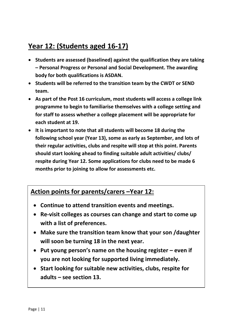# **Year 12: (Students aged 16-17)**

- **Students are assessed (baselined) against the qualification they are taking – Personal Progress or Personal and Social Development. The awarding body for both qualifications is ASDAN.**
- **Students will be referred to the transition team by the CWDT or SEND team.**
- **As part of the Post 16 curriculum, most students will access a college link programme to begin to familiarise themselves with a college setting and for staff to assess whether a college placement will be appropriate for each student at 19.**
- **It is important to note that all students will become 18 during the following school year (Year 13), some as early as September, and lots of their regular activities, clubs and respite will stop at this point. Parents should start looking ahead to finding suitable adult activities/ clubs/ respite during Year 12. Some applications for clubs need to be made 6 months prior to joining to allow for assessments etc.**

#### **Action points for parents/carers –Year 12:**

- **Continue to attend transition events and meetings.**
- **Re-visit colleges as courses can change and start to come up with a list of preferences.**
- **Make sure the transition team know that your son /daughter will soon be turning 18 in the next year.**
- **Put young person's name on the housing register – even if you are not looking for supported living immediately.**
- **Start looking for suitable new activities, clubs, respite for adults – see section 13.**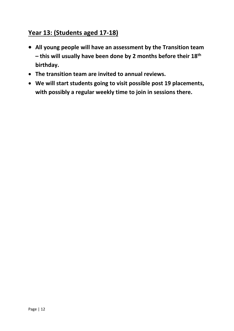#### **Year 13: (Students aged 17-18)**

- **All young people will have an assessment by the Transition team – this will usually have been done by 2 months before their 18th birthday.**
- **The transition team are invited to annual reviews.**
- **We will start students going to visit possible post 19 placements, with possibly a regular weekly time to join in sessions there.**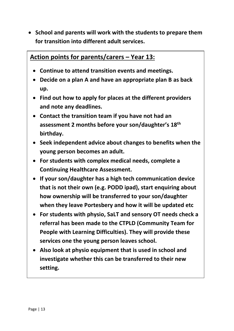• **School and parents will work with the students to prepare them for transition into different adult services.** 

#### **Action points for parents/carers – Year 13:**

- **Continue to attend transition events and meetings.**
- **Decide on a plan A and have an appropriate plan B as back up.**
- **Find out how to apply for places at the different providers and note any deadlines.**
- **Contact the transition team if you have not had an assessment 2 months before your son/daughter's 18th birthday.**
- **Seek independent advice about changes to benefits when the young person becomes an adult.**
- **For students with complex medical needs, complete a Continuing Healthcare Assessment.**
- **If your son/daughter has a high tech communication device that is not their own (e.g. PODD ipad), start enquiring about how ownership will be transferred to your son/daughter when they leave Portesbery and how it will be updated etc**
- **For students with physio, SaLT and sensory OT needs check a referral has been made to the CTPLD (Community Team for People with Learning Difficulties). They will provide these services one the young person leaves school.**
- **Also look at physio equipment that is used in school and investigate whether this can be transferred to their new setting.**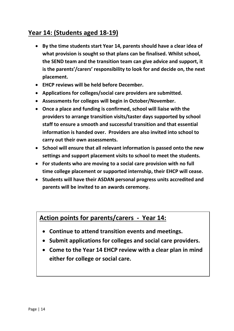#### **Year 14: (Students aged 18-19)**

- **By the time students start Year 14, parents should have a clear idea of what provision is sought so that plans can be finalised. Whilst school, the SEND team and the transition team can give advice and support, it is the parents'/carers' responsibility to look for and decide on, the next placement.**
- **EHCP reviews will be held before December.**
- **Applications for colleges/social care providers are submitted.**
- **Assessments for colleges will begin in October/November.**
- **Once a place and funding is confirmed, school will liaise with the providers to arrange transition visits/taster days supported by school staff to ensure a smooth and successful transition and that essential information is handed over. Providers are also invited into school to carry out their own assessments.**
- **School will ensure that all relevant information is passed onto the new settings and support placement visits to school to meet the students.**
- **For students who are moving to a social care provision with no full time college placement or supported internship, their EHCP will cease.**
- **Students will have their ASDAN personal progress units accredited and parents will be invited to an awards ceremony.**

#### **Action points for parents/carers - Year 14:**

- **Continue to attend transition events and meetings.**
- **Submit applications for colleges and social care providers.**
- **Come to the Year 14 EHCP review with a clear plan in mind either for college or social care.**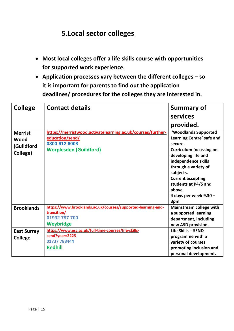# **5.Local sector colleges**

- **Most local colleges offer a life skills course with opportunities for supported work experience.**
- **Application processes vary between the different colleges – so it is important for parents to find out the application deadlines/ procedures for the colleges they are interested in.**

| <b>College</b>                                   | <b>Contact details</b>                                                                                                           | <b>Summary of</b>                                                                                                                                                                                                                                                                  |
|--------------------------------------------------|----------------------------------------------------------------------------------------------------------------------------------|------------------------------------------------------------------------------------------------------------------------------------------------------------------------------------------------------------------------------------------------------------------------------------|
|                                                  |                                                                                                                                  | services                                                                                                                                                                                                                                                                           |
|                                                  |                                                                                                                                  | provided.                                                                                                                                                                                                                                                                          |
| <b>Merrist</b><br>Wood<br>(Guildford<br>College) | https://merristwood.activatelearning.ac.uk/courses/further-<br>education/send/<br>0800 612 6008<br><b>Worplesden (Guildford)</b> | 'Woodlands Supported<br>Learning Centre' safe and<br>secure.<br><b>Curriculum focussing on</b><br>developing life and<br>independence skills<br>through a variety of<br>subjects.<br><b>Current accepting</b><br>students at P4/5 and<br>above.<br>4 days per week $9.30 -$<br>3pm |
| <b>Brooklands</b>                                | https://www.brooklands.ac.uk/courses/supported-learning-and-<br>transition/<br>01932 797 700<br><b>Weybridge</b>                 | Mainstream college with<br>a supported learning<br>department, including<br>new ASD provision.                                                                                                                                                                                     |
| <b>East Surrey</b><br><b>College</b>             | https://www.esc.ac.uk/full-time-courses/life-skills-<br>send?year=2223<br>01737 788444<br><b>Redhill</b>                         | Life Skills - SEND<br>programme with a<br>variety of courses<br>promoting inclusion and<br>personal development.                                                                                                                                                                   |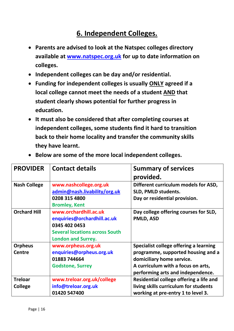# **6. Independent Colleges.**

- **Parents are advised to look at the Natspec colleges directory available at [www.natspec.org.uk](http://www.natspec.org.uk/) for up to date information on colleges.**
- **Independent colleges can be day and/or residential.**
- **Funding for independent colleges is usually ONLY agreed if a local college cannot meet the needs of a student AND that student clearly shows potential for further progress in education.**
- **It must also be considered that after completing courses at independent colleges, some students find it hard to transition back to their home locality and transfer the community skills they have learnt.**

| <b>PROVIDER</b>                  | <b>Contact details</b>                                                                                                                      | <b>Summary of services</b><br>provided.                                                                                                                                              |
|----------------------------------|---------------------------------------------------------------------------------------------------------------------------------------------|--------------------------------------------------------------------------------------------------------------------------------------------------------------------------------------|
| <b>Nash College</b>              | www.nashcollege.org.uk<br>admin@nash.livability/org.uk<br>0208 315 4800<br><b>Bromley, Kent</b>                                             | Different curriculum models for ASD,<br>SLD, PMLD students.<br>Day or residential provision.                                                                                         |
| <b>Orchard Hill</b>              | www.orchardhill.ac.uk<br>enquiries@orchardhill.ac.uk<br>0345 402 0453<br><b>Several locations across South</b><br><b>London and Surrey.</b> | Day college offering courses for SLD,<br>PMLD, ASD                                                                                                                                   |
| <b>Orpheus</b><br><b>Centre</b>  | www.orpheus.org.uk<br>enquiries@orpheus.org.uk<br>01883 744664<br><b>Godstone, Surrey</b>                                                   | Specialist college offering a learning<br>programme, supported housing and a<br>domiciliary home service.<br>A curriculum with a focus on arts,<br>performing arts and independence. |
| <b>Treloar</b><br><b>College</b> | www.treloar.org.uk/college<br>info@treloar.org.uk<br>01420 547400                                                                           | Residential college offering a life and<br>living skills curriculum for students<br>working at pre-entry 1 to level 3.                                                               |

• **Below are some of the more local independent colleges.**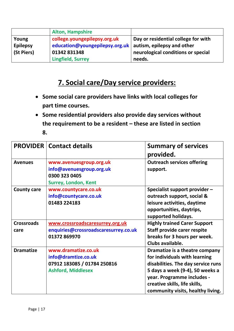|                 | <b>Alton, Hampshire</b>        |                                     |
|-----------------|--------------------------------|-------------------------------------|
| Young           | college.youngepilepsy.org.uk   | Day or residential college for with |
| <b>Epilepsy</b> | education@youngepilepsy.org.uk | autism, epilepsy and other          |
| (St Piers)      | 01342 831348                   | neurological conditions or special  |
|                 | <b>Lingfield, Surrey</b>       | needs.                              |

# **7. Social care/Day service providers:**

- **Some social care providers have links with local colleges for part time courses.**
- **Some residential providers also provide day services without the requirement to be a resident – these are listed in section 8.**

|                           | <b>PROVIDER   Contact details</b>                                                                      | <b>Summary of services</b><br>provided.                                                                                                                                                                                                      |
|---------------------------|--------------------------------------------------------------------------------------------------------|----------------------------------------------------------------------------------------------------------------------------------------------------------------------------------------------------------------------------------------------|
| <b>Avenues</b>            | www.avenuesgroup.org.uk<br>info@avenuesgroup.org.uk<br>0300 323 0405<br><b>Surrey, London, Kent</b>    | <b>Outreach services offering</b><br>support.                                                                                                                                                                                                |
| <b>County care</b>        | www.countycare.co.uk<br>info@countycare.co.uk<br>01483 224183                                          | Specialist support provider -<br>outreach support, social &<br>leisure activities, daytime<br>opportunities, daytrips,<br>supported holidays.                                                                                                |
| <b>Crossroads</b><br>care | www.crossroadscaresurrey.org.uk<br>enquiries@crossroadscaresurrey.co.uk<br>01372 869970                | <b>Highly trained Carer Support</b><br>Staff provide carer respite<br>breaks for 3 hours per week.<br>Clubs available.                                                                                                                       |
| <b>Dramatize</b>          | www.dramatize.co.uk<br>info@dramtize.co.uk<br>07912 183085 / 01784 250816<br><b>Ashford, Middlesex</b> | Dramatize is a theatre company<br>for individuals with learning<br>disabilities. The day service runs<br>5 days a week (9-4), 50 weeks a<br>year. Programme includes -<br>creative skills, life skills,<br>community visits, healthy living. |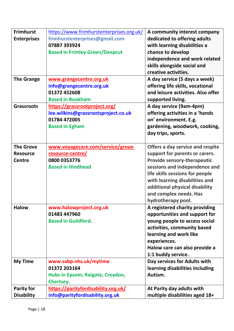| <b>Frimhurst</b>   | https://www.frimhurstenterprises.org.uk/ | A community interest company       |
|--------------------|------------------------------------------|------------------------------------|
| <b>Enterprises</b> | frimhurstenterprises@gmail.com           | dedicated to offering adults       |
|                    | 07887 393924                             | with learning disabilities a       |
|                    | <b>Based in Frimley Green/Deepcut</b>    | chance to develop                  |
|                    |                                          | independence and work related      |
|                    |                                          | skills alongside social and        |
|                    |                                          | creative activities.               |
| <b>The Grange</b>  | www.grangecentre.org.uk                  | A day service (5 days a week)      |
|                    | info@grangecentre.org.uk                 | offering life skills, vocational   |
|                    | 01372 452608                             | and leisure activities. Also offer |
|                    | <b>Based in Bookham</b>                  | supported living.                  |
| <b>Grassroots</b>  | https://grassrootproject.org/            | A day service (9am-4pm)            |
|                    | lee.wilkins@grassrootsproject.co.uk      | offering activities in a 'hands    |
|                    | 01784 472005                             | on' environment. E.g.              |
|                    | <b>Based in Egham</b>                    | gardening, woodwork, cooking,      |
|                    |                                          | day trips, sports.                 |
|                    |                                          |                                    |
| <b>The Grove</b>   | www.voyagecare.com/service/grove-        | Offers a day service and respite   |
| <b>Resource</b>    | <u>resource-centre/</u>                  | support for parents or carers.     |
| <b>Centre</b>      | 0800 0353776                             | <b>Provide sensory-therapeutic</b> |
|                    | <b>Based in Hindhead</b>                 | sessions and independence and      |
|                    |                                          | life skills sessions for people    |
|                    |                                          | with learning disabilities and     |
|                    |                                          | additional physical disability     |
|                    |                                          | and complex needs. Has             |
|                    |                                          | hydrotherapy pool.                 |
| <b>Halow</b>       | www.halowproject.org.uk                  | A registered charity providing     |
|                    | 01483 447960                             | opportunities and support for      |
|                    | <b>Based in Guildford.</b>               | young people to access social      |
|                    |                                          | activities, community based        |
|                    |                                          | learning and work like             |
|                    |                                          | experiences.                       |
|                    |                                          | Halow care can also provide a      |
|                    |                                          | 1:1 buddy service.                 |
| <b>My Time</b>     | www.sabp.nhs.uk/mytime                   | Day services for Adults with       |
|                    | 01372 203164                             | learning disabilities including    |
|                    | Hubs in Epsom, Reigate, Croydon,         | Autism.                            |
|                    | Chertsey.                                |                                    |
| Parity for         | https://parityfordisability.org.uk/      | At Parity day adults with          |
| <b>Disability</b>  | info@parityfordisability.org.uk          | multiple disabilities aged 18+     |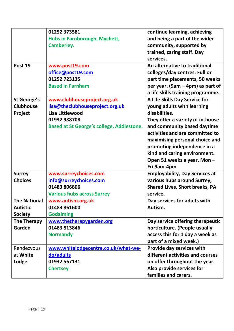|                     | 01252 373581                                     | continue learning, achieving          |
|---------------------|--------------------------------------------------|---------------------------------------|
|                     | Hubs in Farnborough, Mychett,                    | and being a part of the wider         |
|                     | <b>Camberley.</b>                                | community, supported by               |
|                     |                                                  | trained, caring staff. Day            |
|                     |                                                  | services.                             |
| Post 19             | www.post19.com                                   | An alternative to traditional         |
|                     | office@post19.com                                | colleges/day centres. Full or         |
|                     | 01252 723135                                     | part time placements, 50 weeks        |
|                     | <b>Based in Farnham</b>                          | per year. (9am – 4pm) as part of      |
|                     |                                                  | a life skills training programme.     |
| <b>St George's</b>  | www.clubhouseproject.org.uk                      | A Life Skills Day Service for         |
| <b>Clubhouse</b>    | lisa@theclubhouseproject.org.uk                  | young adults with learning            |
| Project             | Lisa Littlewood                                  | disabilities.                         |
|                     | 01932 988708                                     | They offer a variety of in-house      |
|                     | <b>Based at St George's college, Addlestone.</b> | and community based daytime           |
|                     |                                                  | activities and are committed to       |
|                     |                                                  | maximising personal choice and        |
|                     |                                                  | promoting independence in a           |
|                     |                                                  | kind and caring environment.          |
|                     |                                                  | Open 51 weeks a year, Mon -           |
|                     |                                                  | Fri 9am-4pm                           |
| <b>Surrey</b>       | www.surreychoices.com                            | <b>Employability, Day Services at</b> |
| <b>Choices</b>      | info@surreychoices.com                           | various hubs around Surrey,           |
|                     | 01483 806806                                     | <b>Shared Lives, Short breaks, PA</b> |
|                     | <b>Various hubs across Surrey</b>                | service.                              |
| <b>The National</b> | www.autism.org.uk                                | Day services for adults with          |
| <b>Autistic</b>     | 01483 861600                                     | Autism.                               |
| <b>Society</b>      | <b>Godalming</b>                                 |                                       |
| <b>The Therapy</b>  | www.thetherapygarden.org                         | Day service offering therapeutic      |
| Garden              | 01483 813846                                     | horticulture. (People usually         |
|                     | <b>Normandy</b>                                  | access this for 1 day a week as       |
|                     |                                                  | part of a mixed week.)                |
| Rendezvous          | www.whitelodgecentre.co.uk/what-we-              | Provide day services with             |
| at White            | do/adults                                        | different activities and courses      |
| Lodge               | 01932 567131                                     | on offer throughout the year.         |
|                     | <b>Chertsey</b>                                  | Also provide services for             |
|                     |                                                  | families and carers.                  |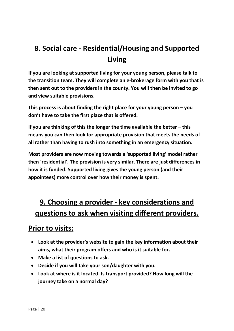# **8. Social care - Residential/Housing and Supported Living**

**If you are looking at supported living for your young person, please talk to the transition team. They will complete an e-brokerage form with you that is then sent out to the providers in the county. You will then be invited to go and view suitable provisions.** 

**This process is about finding the right place for your young person – you don't have to take the first place that is offered.** 

**If you are thinking of this the longer the time available the better – this means you can then look for appropriate provision that meets the needs of all rather than having to rush into something in an emergency situation.** 

**Most providers are now moving towards a 'supported living' model rather then 'residential'. The provision is very similar. There are just differences in how it is funded. Supported living gives the young person (and their appointees) more control over how their money is spent.** 

# **9. Choosing a provider - key considerations and questions to ask when visiting different providers.**

# **Prior to visits:**

- **Look at the provider's website to gain the key information about their aims, what their program offers and who is it suitable for.**
- **Make a list of questions to ask.**
- **Decide if you will take your son/daughter with you.**
- **Look at where is it located. Is transport provided? How long will the journey take on a normal day?**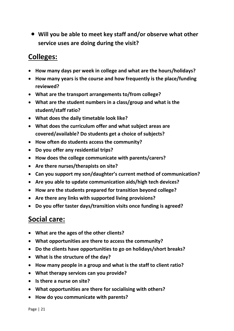• **Will you be able to meet key staff and/or observe what other service uses are doing during the visit?** 

# **Colleges:**

- **How many days per week in college and what are the hours/holidays?**
- **How many years is the course and how frequently is the place/funding reviewed?**
- **What are the transport arrangements to/from college?**
- **What are the student numbers in a class/group and what is the student/staff ratio?**
- **What does the daily timetable look like?**
- **What does the curriculum offer and what subject areas are covered/available? Do students get a choice of subjects?**
- **How often do students access the community?**
- **Do you offer any residential trips?**
- **How does the college communicate with parents/carers?**
- **Are there nurses/therapists on site?**
- **Can you support my son/daughter's current method of communication?**
- **Are you able to update communication aids/high tech devices?**
- **How are the students prepared for transition beyond college?**
- **Are there any links with supported living provisions?**
- **Do you offer taster days/transition visits once funding is agreed?**

#### **Social care:**

- **What are the ages of the other clients?**
- **What opportunities are there to access the community?**
- **Do the clients have opportunities to go on holidays/short breaks?**
- **What is the structure of the day?**
- **How many people in a group and what is the staff to client ratio?**
- **What therapy services can you provide?**
- **Is there a nurse on site?**
- **What opportunities are there for socialising with others?**
- **How do you communicate with parents?**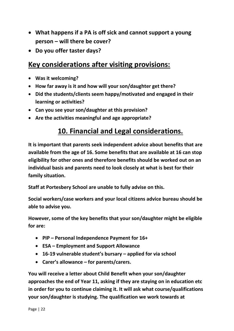- **What happens if a PA is off sick and cannot support a young person – will there be cover?**
- **Do you offer taster days?**

#### **Key considerations after visiting provisions:**

- **Was it welcoming?**
- **How far away is it and how will your son/daughter get there?**
- **Did the students/clients seem happy/motivated and engaged in their learning or activities?**
- **Can you see your son/daughter at this provision?**
- **Are the activities meaningful and age appropriate?**

## **10. Financial and Legal considerations.**

**It is important that parents seek independent advice about benefits that are available from the age of 16. Some benefits that are available at 16 can stop eligibility for other ones and therefore benefits should be worked out on an individual basis and parents need to look closely at what is best for their family situation.** 

**Staff at Portesbery School are unable to fully advise on this.** 

**Social workers/case workers and your local citizens advice bureau should be able to advise you.** 

**However, some of the key benefits that your son/daughter might be eligible for are:**

- **PIP – Personal Independence Payment for 16+**
- **ESA – Employment and Support Allowance**
- **16-19 vulnerable student's bursary – applied for via school**
- **Carer's allowance – for parents/carers.**

**You will receive a letter about Child Benefit when your son/daughter approaches the end of Year 11, asking if they are staying on in education etc in order for you to continue claiming it. It will ask what course/qualifications your son/daughter is studying. The qualification we work towards at**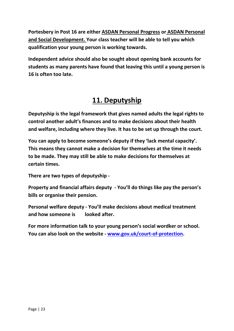**Portesbery in Post 16 are either ASDAN Personal Progress or ASDAN Personal and Social Development. Your class teacher will be able to tell you which qualification your young person is working towards.**

**Independent advice should also be sought about opening bank accounts for students as many parents have found that leaving this until a young person is 16 is often too late.** 

# **11. Deputyship**

**Deputyship is the legal framework that gives named adults the legal rights to control another adult's finances and to make decisions about their health and welfare, including where they live. It has to be set up through the court.** 

**You can apply to become someone's deputy if they 'lack mental capacity'. This means they cannot make a decision for themselves at the time it needs to be made. They may still be able to make decisions for themselves at certain times.**

**There are two types of deputyship -**

**Property and financial affairs deputy - You'll do things like pay the person's bills or organise their pension.**

**Personal welfare deputy - You'll make decisions about medical treatment and how someone is looked after.**

**For more information talk to your young person's social wordker or school. You can also look on the website - [www.gov.uk/court-of-protection.](http://www.gov.uk/court-of-protection)**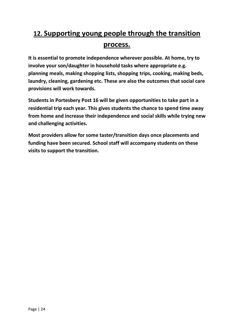# **12. Supporting young people through the transition process.**

**It is essential to promote independence wherever possible. At home, try to involve your son/daughter in household tasks where appropriate e.g. planning meals, making shopping lists, shopping trips, cooking, making beds, laundry, cleaning, gardening etc. These are also the outcomes that social care provisions will work towards.** 

**Students in Portesbery Post 16 will be given opportunities to take part in a residential trip each year. This gives students the chance to spend time away from home and increase their independence and social skills while trying new and challenging activities.** 

**Most providers allow for some taster/transition days once placements and funding have been secured. School staff will accompany students on these visits to support the transition.**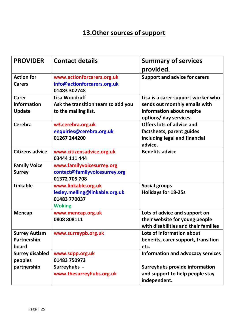# **13.Other sources of support**

| <b>PROVIDER</b>        | <b>Contact details</b>                      | <b>Summary of services</b>               |
|------------------------|---------------------------------------------|------------------------------------------|
|                        |                                             | provided.                                |
| <b>Action for</b>      | www.actionforcarers.org.uk                  | <b>Support and advice for carers</b>     |
| <b>Carers</b>          | info@actionforcarers.org.uk<br>01483 302748 |                                          |
| Carer                  | Lisa Woodruff                               | Lisa is a carer support worker who       |
| <b>Information</b>     | Ask the transition team to add you          | sends out monthly emails with            |
| <b>Update</b>          | to the mailing list.                        | information about respite                |
|                        |                                             | options/ day services.                   |
| Cerebra                | w3.cerebra.org.uk                           | <b>Offers lots of advice and</b>         |
|                        | enquiries@cerebra.org.uk                    | factsheets, parent guides                |
|                        | 01267 244200                                | including legal and financial            |
| <b>Citizens advice</b> |                                             | advice.<br><b>Benefits advice</b>        |
|                        | www.citizensadvice.org.uk<br>03444 111 444  |                                          |
| <b>Family Voice</b>    | www.familyvoicesurrey.org                   |                                          |
| <b>Surrey</b>          | contact@familyvoicesurrey.org               |                                          |
|                        | 01372 705 708                               |                                          |
| <b>Linkable</b>        | www.linkable.org.uk                         | <b>Social groups</b>                     |
|                        | lesley.melling@linkable.org.uk              | <b>Holidays for 18-25s</b>               |
|                        | 01483 770037                                |                                          |
| <b>Mencap</b>          | <b>Woking</b><br>www.mencap.org.uk          | Lots of advice and support on            |
|                        | 0808 808111                                 | their website for young people           |
|                        |                                             | with disabilities and their families     |
| <b>Surrey Autism</b>   | www.surreypb.org.uk                         | Lots of information about                |
| Partnership            |                                             | benefits, carer support, transition      |
| board                  |                                             | etc.                                     |
| <b>Surrey disabled</b> | www.sdpp.org.uk                             | <b>Information and advocacy services</b> |
| peoples                | 01483 750973                                |                                          |
| partnership            | Surreyhubs -                                | <b>Surreyhubs provide information</b>    |
|                        | www.thesurreyhubs.org.uk                    | and support to help people stay          |
|                        |                                             | independent.                             |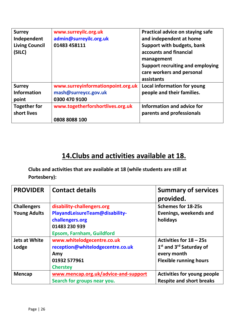| <b>Surrey</b><br>Independent<br><b>Living Council</b><br>(SILC) | www.surreyilc.org.uk<br>admin@surreyilc.org.uk<br>01483 458111 | Practical advice on staying safe<br>and independent at home<br>Support with budgets, bank<br>accounts and financial<br>management<br>Support recruiting and employing<br>care workers and personal<br>assistants |
|-----------------------------------------------------------------|----------------------------------------------------------------|------------------------------------------------------------------------------------------------------------------------------------------------------------------------------------------------------------------|
| <b>Surrey</b>                                                   | www.surreyinformationpoint.org.uk                              | Local information for young                                                                                                                                                                                      |
| <b>Information</b>                                              | mash@surreycc.gov.uk                                           | people and their families.                                                                                                                                                                                       |
| point                                                           | 0300 470 9100                                                  |                                                                                                                                                                                                                  |
| <b>Together for</b>                                             | www.togetherforshortlives.org.uk                               | Information and advice for                                                                                                                                                                                       |
| short lives                                                     |                                                                | parents and professionals                                                                                                                                                                                        |
|                                                                 | 0808 8088 100                                                  |                                                                                                                                                                                                                  |

# **14.Clubs and activities available at 18.**

**Clubs and activities that are available at 18 (while students are still at Portesbery):**

| <b>PROVIDER</b>                           | <b>Contact details</b>                                                                                                               | <b>Summary of services</b><br>provided.                                                                                    |
|-------------------------------------------|--------------------------------------------------------------------------------------------------------------------------------------|----------------------------------------------------------------------------------------------------------------------------|
| <b>Challengers</b><br><b>Young Adults</b> | disability-challengers.org<br>PlayandLeisureTeam@disability-<br>challengers.org<br>01483 230 939<br><b>Epsom, Farnham, Guildford</b> | <b>Schemes for 18-25s</b><br>Evenings, weekends and<br>holidays                                                            |
| <b>Jets at White</b><br>Lodge             | www.whitelodgecentre.co.uk<br>reception@whitelodgecentre.co.uk<br>Amy<br>01932 577961<br><b>Cherstey</b>                             | Activities for 18 - 25s<br>1 <sup>st</sup> and 3 <sup>rd</sup> Saturday of<br>every month<br><b>Flexible running hours</b> |
| <b>Mencap</b>                             | www.mencap.org.uk/advice-and-support<br>Search for groups near you.                                                                  | <b>Activities for young people</b><br><b>Respite and short breaks</b>                                                      |